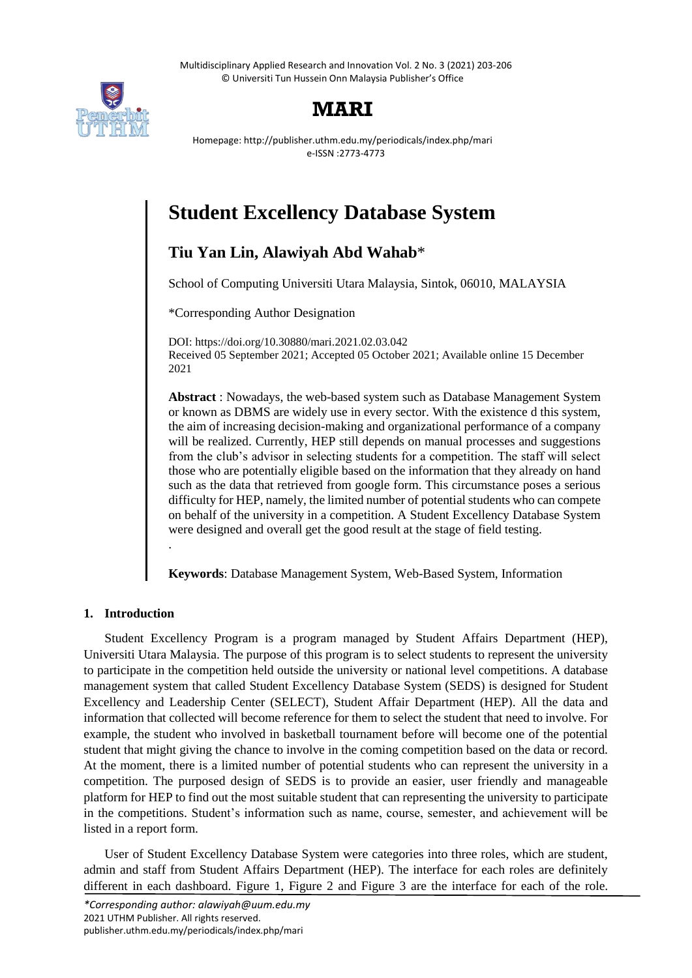Multidisciplinary Applied Research and Innovation Vol. 2 No. 3 (2021) 203-206 © Universiti Tun Hussein Onn Malaysia Publisher's Office



## **MARI**

Homepage: http://publisher.uthm.edu.my/periodicals/index.php/mari e-ISSN :2773-4773

# **Student Excellency Database System**

### **Tiu Yan Lin, Alawiyah Abd Wahab**\*

School of Computing Universiti Utara Malaysia, Sintok, 06010, MALAYSIA

\*Corresponding Author Designation

DOI: https://doi.org/10.30880/mari.2021.02.03.042 Received 05 September 2021; Accepted 05 October 2021; Available online 15 December 2021

**Abstract** : Nowadays, the web-based system such as Database Management System or known as DBMS are widely use in every sector. With the existence d this system, the aim of increasing decision-making and organizational performance of a company will be realized. Currently, HEP still depends on manual processes and suggestions from the club's advisor in selecting students for a competition. The staff will select those who are potentially eligible based on the information that they already on hand such as the data that retrieved from google form. This circumstance poses a serious difficulty for HEP, namely, the limited number of potential students who can compete on behalf of the university in a competition. A Student Excellency Database System were designed and overall get the good result at the stage of field testing.

**Keywords**: Database Management System, Web-Based System, Information

#### **1. Introduction**

.

Student Excellency Program is a program managed by Student Affairs Department (HEP), Universiti Utara Malaysia. The purpose of this program is to select students to represent the university to participate in the competition held outside the university or national level competitions. A database management system that called Student Excellency Database System (SEDS) is designed for Student Excellency and Leadership Center (SELECT), Student Affair Department (HEP). All the data and information that collected will become reference for them to select the student that need to involve. For example, the student who involved in basketball tournament before will become one of the potential student that might giving the chance to involve in the coming competition based on the data or record. At the moment, there is a limited number of potential students who can represent the university in a competition. The purposed design of SEDS is to provide an easier, user friendly and manageable platform for HEP to find out the most suitable student that can representing the university to participate in the competitions. Student's information such as name, course, semester, and achievement will be listed in a report form.

User of Student Excellency Database System were categories into three roles, which are student, admin and staff from Student Affairs Department (HEP). The interface for each roles are definitely different in each dashboard. Figure 1, Figure 2 and Figure 3 are the interface for each of the role.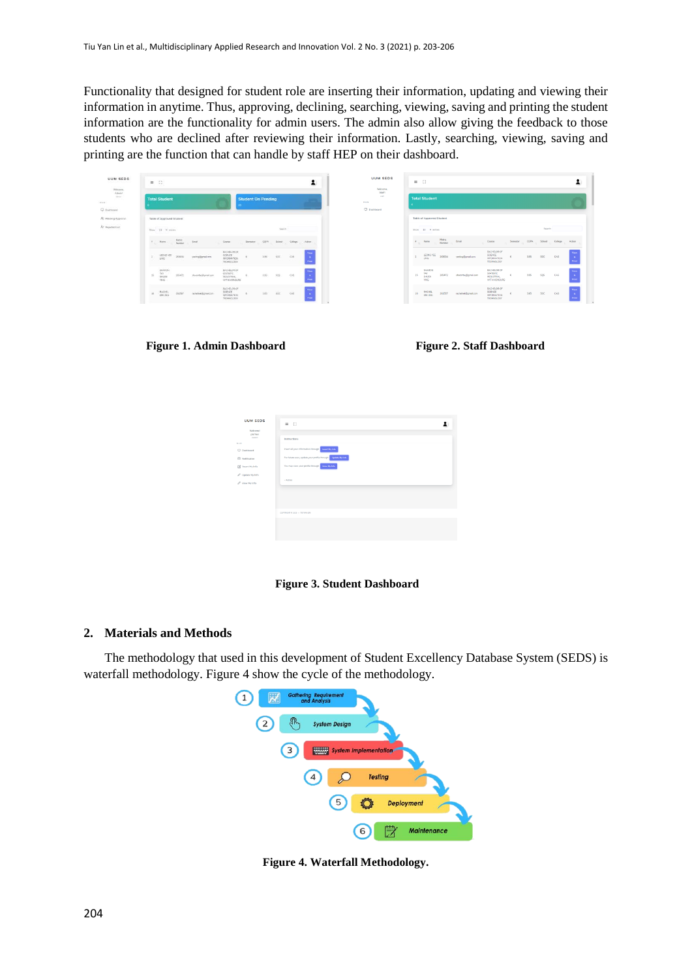Functionality that designed for student role are inserting their information, updating and viewing their information in anytime. Thus, approving, declining, searching, viewing, saving and printing the student information are the functionality for admin users. The admin also allow giving the feedback to those students who are declined after reviewing their information. Lastly, searching, viewing, saving and printing are the function that can handle by staff HEP on their dashboard.

| UUM SEDS<br>53295333<br><b>CONTRACTOR</b><br>Welcover. | $= 0$<br>÷                                                                                                                                                                    | <b>UUM SEDS</b><br>Widcorea.              | $=$ $\Omega$                                                                                                                                                 |                   |
|--------------------------------------------------------|-------------------------------------------------------------------------------------------------------------------------------------------------------------------------------|-------------------------------------------|--------------------------------------------------------------------------------------------------------------------------------------------------------------|-------------------|
| $\it{Adiral}$<br>-skraty -                             | <b>Student On Pending</b><br><b>Total Student</b>                                                                                                                             | Staff<br>staff.<br>31.0.74<br>C Dashboard | <b>Total Student</b>                                                                                                                                         |                   |
| R. Pending Approval                                    | Table of Approved Student                                                                                                                                                     |                                           | Table of Approved Student                                                                                                                                    |                   |
| At Injected List                                       | ance from Thusen<br>Search:<br>Stow 35 Westras                                                                                                                                |                                           | Search<br>Show 10 w entires                                                                                                                                  |                   |
|                                                        | Matric<br>fruit<br>CON.<br>$\lambda$ , $\lambda$ .<br>Course<br>School<br>Cologs<br>Serverter<br>Action<br><b>Namber</b>                                                      |                                           | Matric<br>$\mathcal{F}_{\rm eff}$<br><b>CGFIA</b><br>School<br>Email<br>Name<br>Course<br>Sumsptor<br>Number :<br>and the control<br>$\sim$                  | College<br>Action |
|                                                        | BACHELOR OF<br>$\sim$<br>SCIENCE<br>TWO TEST<br>3.95<br>soc.<br>$\overline{z}$<br>263034<br>cas<br><b>COL</b><br>ywing@gmail.com<br>INFORMATION<br><b>TECHNOLOGY</b>          |                                           | BACHELOR OF<br>SOENCE<br>LEONG YEE<br>$\mathbf{z}$<br>243634<br>3.95<br>SOC.<br>veeling@gmail.com<br>LING<br>INFORMATION<br><b>TECHNOLOGY</b>                | CAS               |
|                                                        | BAD BLOR OF<br>SHARON<br>sticrenc.<br>ter<br>15.<br>505<br>3.56<br>CAS<br>205472<br>sharontay@gmail.com<br>- 1<br>puty<br><b>INDUSTRIAL</b><br>Print,<br>TRIG<br>WITH HONOURS |                                           | BACHBLOR OF<br>SHARON<br>STATISTIC<br><b>TAY</b><br>15<br>3.95<br>505<br>265472<br>sharonhau@gmail.com<br><b>INDUSTRIAL</b><br>SHUEN<br>YING<br>WITH HONOURS | CAS               |
|                                                        | BAD-ELOR OF<br>SCIENCE<br>RACHEL<br>16<br>soc.<br>261567<br>racheled@gmal.com<br>3.85<br>CAS<br>INFORMATION<br>TECHNOLOGY                                                     |                                           | BACHELOR OF<br>SCIENCE<br>RACHEL<br>16<br>3.65<br>261567<br>SOC <sup>1</sup><br>racheloek@gmail.com<br>KRK HNG<br>INFORMATION<br>TECHNOLOGY                  | CAS               |

**Figure 1. Admin Dashboard Figure 2. Staff Dashboard**

| <b>UUM SEDS</b>                              | $=$ $\Omega$                                                     |  |
|----------------------------------------------|------------------------------------------------------------------|--|
| Wildcorea!<br>pitriferi<br><b>Washington</b> |                                                                  |  |
| <b>MAYS</b>                                  | Instructions                                                     |  |
| C Dashboard                                  | Insert all your information through suses My Jane                |  |
| <b>E</b> Notification                        | For future uses, update your profile through the lightest Myliam |  |
| [2] Insert My Info                           | You may view your profile through Way My Line                    |  |
| C Update My Info                             |                                                                  |  |
| / View My Info                               | $-Admin$                                                         |  |
|                                              |                                                                  |  |
|                                              |                                                                  |  |
|                                              |                                                                  |  |
|                                              | COPYRIGHT @ 2020 + TRIVANIEN                                     |  |
|                                              |                                                                  |  |
|                                              |                                                                  |  |
|                                              |                                                                  |  |

 **Figure 3. Student Dashboard**

#### **2. Materials and Methods**

The methodology that used in this development of Student Excellency Database System (SEDS) is waterfall methodology. Figure 4 show the cycle of the methodology.



**Figure 4. Waterfall Methodology.**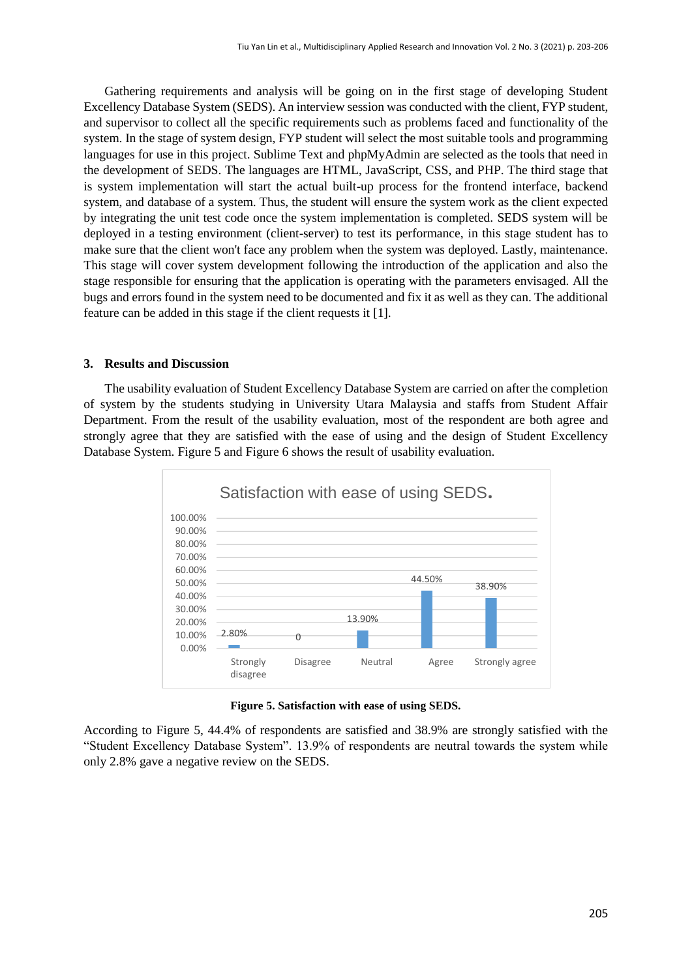Gathering requirements and analysis will be going on in the first stage of developing Student Excellency Database System (SEDS). An interview session was conducted with the client, FYP student, and supervisor to collect all the specific requirements such as problems faced and functionality of the system. In the stage of system design, FYP student will select the most suitable tools and programming languages for use in this project. Sublime Text and phpMyAdmin are selected as the tools that need in the development of SEDS. The languages are HTML, JavaScript, CSS, and PHP. The third stage that is system implementation will start the actual built-up process for the frontend interface, backend system, and database of a system. Thus, the student will ensure the system work as the client expected by integrating the unit test code once the system implementation is completed. SEDS system will be deployed in a testing environment (client-server) to test its performance, in this stage student has to make sure that the client won't face any problem when the system was deployed. Lastly, maintenance. This stage will cover system development following the introduction of the application and also the stage responsible for ensuring that the application is operating with the parameters envisaged. All the bugs and errors found in the system need to be documented and fix it as well as they can. The additional feature can be added in this stage if the client requests it [1].

#### **3. Results and Discussion**

The usability evaluation of Student Excellency Database System are carried on after the completion of system by the students studying in University Utara Malaysia and staffs from Student Affair Department. From the result of the usability evaluation, most of the respondent are both agree and strongly agree that they are satisfied with the ease of using and the design of Student Excellency Database System. Figure 5 and Figure 6 shows the result of usability evaluation.





According to Figure 5, 44.4% of respondents are satisfied and 38.9% are strongly satisfied with the "Student Excellency Database System". 13.9% of respondents are neutral towards the system while only 2.8% gave a negative review on the SEDS.